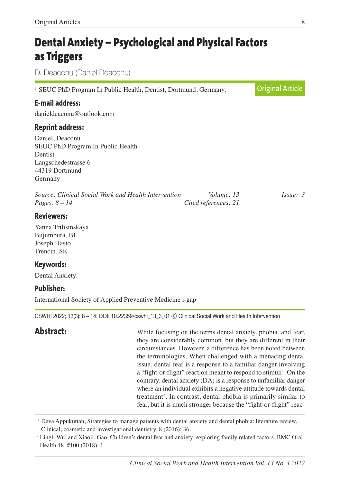# **Dental Anxiety – Psychological and Physical Factors as Triggers**

D. Deaconu (Daniel Deaconu)

<sup>1</sup> SEUC PhD Program In Public Health, Dentist, Dortmund, Germany. **E-mail address:** danieldeaconu@outlook.com **Reprint address:** Daniel, Deaconu SEUC PhD Program In Public Health Dentist Langschedestrasse 6 44319 Dortmund Germany *Source: Clinical Social Work and Health Intervention Volume: 13 Issue: 3 Pages: 8 – 14 Cited references: 21* **Reviewers:** Yanna Trilisinskaya **Original Article**

Bujumbura, BI Joseph Hasto Trencin, SK

### **Keywords:**

Dental Anxiety.

### **Publisher:**

International Society of Applied Preventive Medicine i-gap

CSWHI 2022; 13(3): 8 – 14; DOI: 10.22359/cswhi\_13\_3\_01 ⓒ Clinical Social Work and Health Intervention

**Abstract:** While focusing on the terms dental anxiety, phobia, and fear, they are considerably common, but they are different in their circumstances. However, a difference has been noted between the terminologies. When challenged with a menacing dental issue, dental fear is a response to a familiar danger involving a "fight-or-flight" reaction meant to respond to stimuli<sup>1</sup>. On the contrary, dental anxiety (DA) is a response to unfamiliar danger where an individual exhibits a negative attitude towards dental treatment 2 . In contrast, dental phobia is primarily similar to fear, but it is much stronger because the "fight-or-flight" reac-

<sup>1</sup> Deva Appukuttan, Strategies to manage patients with dental anxiety and dental phobia: literature review, Clinical, cosmetic and investigational dentistry, 8 (2016): 36.

<sup>2</sup> Lingli Wu, and Xiaoli, Gao, Children's dental fear and anxiety: exploring family related factors, BMC Oral Health 18, #100 (2018): 1.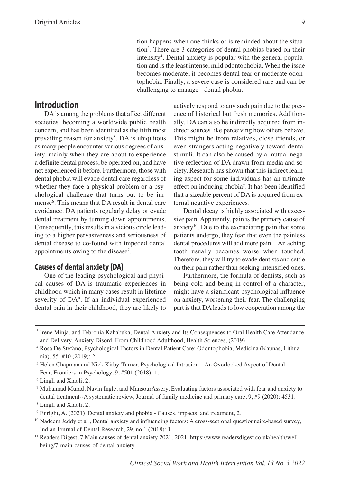tion happens when one thinks or is reminded about the situation3 . There are 3 categories of dental phobias based on their intensity<sup>4</sup>. Dental anxiety is popular with the general population and is the least intense, mild odontophobia. When the issue becomes moderate, it becomes dental fear or moderate odontophobia. Finally, a severe case is considered rare and can be challenging to manage - dental phobia.

#### **Introduction**

DA is among the problems that affect different societies, becoming a worldwide public health concern, and has been identified as the fifth most prevailing reason for anxiety<sup>5</sup>. DA is ubiquitous as many people encounter various degrees of anxiety, mainly when they are about to experience a definite dental process, be operated on, and have not experienced it before. Furthermore, those with dental phobia will evade dental care regardless of whether they face a physical problem or a psychological challenge that turns out to be immense6 . This means that DA result in dental care avoidance. DA patients regularly delay or evade dental treatment by turning down appointments. Consequently, this results in a vicious circle leading to a higher pervasiveness and seriousness of dental disease to co-found with impeded dental appointments owing to the disease<sup>7</sup>.

#### **Causes of dental anxiety (DA)**

One of the leading psychological and physical causes of DA is traumatic experiences in childhood which in many cases result in lifetime severity of DA<sup>8</sup>. If an individual experienced dental pain in their childhood, they are likely to

actively respond to any such pain due to the presence of historical but fresh memories. Additionally, DA can also be indirectly acquired from indirect sources like perceiving how others behave. This might be from relatives, close friends, or even strangers acting negatively toward dental stimuli. It can also be caused by a mutual negative reflection of DA drawn from media and society. Research has shown that this indirect learning aspect for some individuals has an ultimate effect on inducing phobia<sup>9</sup>. It has been identified that a sizeable percent of DA is acquired from external negative experiences.

Dental decay is highly associated with excessive pain. Apparently, pain is the primary cause of anxiety $10$ . Due to the excruciating pain that some patients undergo, they fear that even the painless dental procedures will add more pain<sup>11</sup>. An aching tooth usually becomes worse when touched. Therefore, they will try to evade dentists and settle on their pain rather than seeking intensified ones.

Furthermore, the formula of dentists, such as being cold and being in control of a character, might have a significant psychological influence on anxiety, worsening their fear. The challenging part is that DA leads to low cooperation among the

<sup>3</sup> Irene Minja, and Febronia Kahabuka, Dental Anxiety and Its Consequences to Oral Health Care Attendance and Delivery. Anxiety Disord. From Childhood Adulthood, Health Sciences, (2019).

<sup>4</sup> Rosa De Stefano, Psychological Factors in Dental Patient Care: Odontophobia, Medicina (Kaunas, Lithuania), 55, #10 (2019): 2.

<sup>5</sup> Helen Chapman and Nick Kirby-Turner, Psychological Intrusion – An Overlooked Aspect of Dental Fear, Frontiers in Psychology, 9, #501 (2018): 1.

<sup>6</sup> Lingli and Xiaoli, 2.

<sup>7</sup> Muhannad Murad, Navin Ingle, and MansourAssery, Evaluating factors associated with fear and anxiety to dental treatment--A systematic review, Journal of family medicine and primary care, 9, #9 (2020): 4531.

<sup>8</sup> Lingli and Xiaoli, 2.

<sup>9</sup> Enright, A. (2021). Dental anxiety and phobia - Causes, impacts, and treatment, 2.

<sup>&</sup>lt;sup>10</sup> Nadeem Jeddy et al., Dental anxiety and influencing factors: A cross-sectional questionnaire-based survey, Indian Journal of Dental Research, 29, no.1 (2018): 1.

<sup>11</sup> Readers Digest, 7 Main causes of dental anxiety 2021, 2021, https://www.readersdigest.co.uk/health/wellbeing/7-main-causes-of-dental-anxiety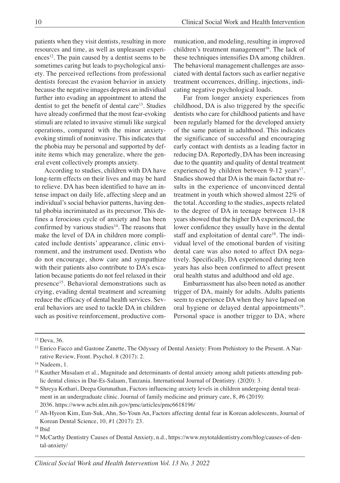patients when they visit dentists, resulting in more resources and time, as well as unpleasant experi $e$ nces<sup>12</sup>. The pain caused by a dentist seems to be sometimes caring but leads to psychological anxiety. The perceived reflections from professional dentists forecast the evasion behavior in anxiety because the negative images depress an individual further into evading an appointment to attend the dentist to get the benefit of dental care<sup>13</sup>. Studies have already confirmed that the most fear-evoking stimuli are related to invasive stimuli like surgical operations, compared with the minor anxietyevoking stimuli of noninvasive. This indicates that the phobia may be personal and supported by definite items which may generalize, where the general event collectively prompts anxiety.

According to studies, children with DA have long-term effects on their lives and may be hard to relieve. DA has been identified to have an intense impact on daily life, affecting sleep and an individual's social behavior patterns, having dental phobia incriminated as its precursor. This defines a ferocious cycle of anxiety and has been confirmed by various studies<sup>14</sup>. The reasons that make the level of DA in children more complicated include dentists' appearance, clinic environment, and the instrument used. Dentists who do not encourage, show care and sympathize with their patients also contribute to DA's escalation because patients do not feel relaxed in their presence<sup>15</sup>. Behavioral demonstrations such as crying, evading dental treatment and screaming reduce the efficacy of dental health services. Several behaviors are used to tackle DA in children such as positive reinforcement, productive communication, and modeling, resulting in improved children's treatment management 16 . The lack of these techniques intensifies DA among children. The behavioral management challenges are associated with dental factors such as earlier negative treatment occurrences, drilling, injections, indicating negative psychological loads.

Far from longer anxiety experiences from childhood, DA is also triggered by the specific dentists who care for childhood patients and have been regularly blamed for the developed anxiety of the same patient in adulthood. This indicates the significance of successful and encouraging early contact with dentists as a leading factor in reducing DA. Reportedly, DA has been increasing due to the quantity and quality of dental treatment experienced by children between 9-12 years<sup>17</sup>. Studies showed that DA is the main factor that results in the experience of unconvinced dental treatment in youth which showed almost 22% of the total. According to the studies, aspects related to the degree of DA in teenage between 13-18 years showed that the higher DA experienced, the lower confidence they usually have in the dental staff and exploitation of dental care<sup>18</sup>. The individual level of the emotional burden of visiting dental care was also noted to affect DA negatively. Specifically, DA experienced during teen years has also been confirmed to affect present oral health status and adulthood and old age.

Embarrassment has also been noted as another trigger of DA, mainly for adults. Adults patients seem to experience DA when they have lapsed on oral hygiene or delayed dental appointments<sup>19</sup>. Personal space is another trigger to DA, where

<sup>&</sup>lt;sup>12</sup> Deva, 36.

<sup>&</sup>lt;sup>13</sup> Enrico Facco and Gastone Zanette, The Odyssey of Dental Anxiety: From Prehistory to the Present. A Narrative Review, Front. Psychol. 8 (2017): 2.

 $14$  Nadeem, 1.

<sup>&</sup>lt;sup>15</sup> Kauther Musalam et al., Magnitude and determinants of dental anxiety among adult patients attending public dental clinics in Dar-Es-Salaam, Tanzania. International Journal of Dentistry. (2020): 3.

<sup>16</sup> Shreya Kothari, Deepa Gurunathan, Factors influencing anxiety levels in children undergoing dental treatment in an undergraduate clinic. Journal of family medicine and primary care, 8, #6 (2019): 2036. https://www.ncbi.nlm.nih.gov/pmc/articles/pmc6618196/

<sup>&</sup>lt;sup>17</sup> Ah-Hyeon Kim, Eun-Suk, Ahn, So-Youn An, Factors affecting dental fear in Korean adolescents, Journal of Korean Dental Science, 10, #1 (2017): 23.

<sup>&</sup>lt;sup>18</sup> Ibid

<sup>19</sup> McCarthy Dentistry Causes of Dental Anxiety, n.d., https://www.mytotaldentistry.com/blog/causes-of-dental-anxiety/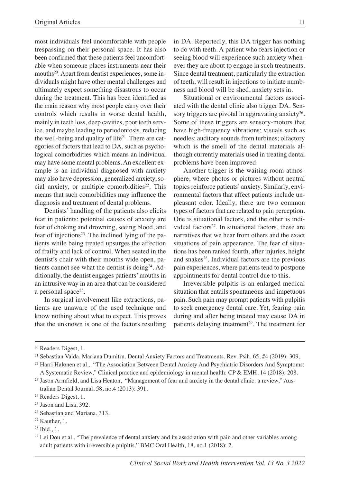most individuals feel uncomfortable with people trespassing on their personal space. It has also been confirmed that these patients feel uncomfortable when someone places instruments near their mouths<sup>20</sup>. Apart from dentist experiences, some individuals might have other mental challenges and ultimately expect something disastrous to occur during the treatment. This has been identified as the main reason why most people carry over their controls which results in worse dental health, mainly in teeth loss, deep cavities, poor teeth service, and maybe leading to periodontosis, reducing the well-being and quality of life $2<sup>1</sup>$ . There are categories of factors that lead to DA, such as psychological comorbidities which means an individual may have some mental problems. An excellent example is an individual diagnosed with anxiety may also have depression, generalized anxiety, social anxiety, or multiple comorbidities $22$ . This means that such comorbidities may influence the diagnosis and treatment of dental problems.

Dentists' handling of the patients also elicits fear in patients: potential causes of anxiety are fear of choking and drowning, seeing blood, and fear of injections<sup>23</sup>. The inclined lying of the patients while being treated upsurges the affection of frailty and lack of control. When seated in the dentist's chair with their mouths wide open, patients cannot see what the dentist is doing<sup>24</sup>. Additionally, the dentist engages patients'mouths in an intrusive way in an area that can be considered a personal space<sup>25</sup>.

In surgical involvement like extractions, patients are unaware of the used technique and know nothing about what to expect. This proves that the unknown is one of the factors resulting in DA. Reportedly, this DA trigger has nothing to do with teeth. A patient who fears injection or seeing blood will experience such anxiety whenever they are about to engage in such treatments. Since dental treatment, particularly the extraction of teeth, will result in injections to initiate numbness and blood will be shed, anxiety sets in.

Situational or environmental factors associated with the dental clinic also trigger DA. Sensory triggers are pivotal in aggravating anxiety $26$ . Some of these triggers are sensory-motors that have high-frequency vibrations; visuals such as needles; auditory sounds from turbines; olfactory which is the smell of the dental materials although currently materials used in treating dental problems have been improved.

Another trigger is the waiting room atmosphere, where photos or pictures without neutral topics reinforce patients' anxiety. Similarly, environmental factors that affect patients include unpleasant odor. Ideally, there are two common types of factors that are related to pain perception. One is situational factors, and the other is individual factors $27$ . In situational factors, these are narratives that we hear from others and the exact situations of pain appearance. The fear of situations has been ranked fourth, after injuries, height and snakes<sup>28</sup>. Individual factors are the previous pain experiences, where patients tend to postpone appointments for dental control due to this.

Irreversible pulpitis is an enlarged medical situation that entails spontaneous and impetuous pain. Such pain may prompt patients with pulpitis to seek emergency dental care. Yet, fearing pain during and after being treated may cause DA in patients delaying treatment 29 . The treatment for

<sup>20</sup> Readers Digest, 1.

<sup>21</sup> Sebastian Vaida, Mariana Dumitru, Dental Anxiety Factors and Treatments, Rev. Psih, 65, #4 (2019): 309.

<sup>&</sup>lt;sup>22</sup> Harri Halonen et al.,. "The Association Between Dental Anxiety And Psychiatric Disorders And Symptoms: A Systematic Review," Clinical practice and epidemiology in mental health: CP & EMH, 14 (2018): 208.

<sup>&</sup>lt;sup>23</sup> Jason Armfield, and Lisa Heaton, "Management of fear and anxiety in the dental clinic: a review," Australian Dental Journal, 58, no.4 (2013): 391.

<sup>24</sup> Readers Digest, 1.

<sup>&</sup>lt;sup>25</sup> Jason and Lisa, 392.

<sup>26</sup> Sebastian and Mariana, 313.

<sup>27</sup> Kauther, 1.

<sup>28</sup> Ibid., 1.

<sup>&</sup>lt;sup>29</sup> Lei Dou et al., "The prevalence of dental anxiety and its association with pain and other variables among adult patients with irreversible pulpitis," BMC Oral Health, 18, no.1 (2018): 2.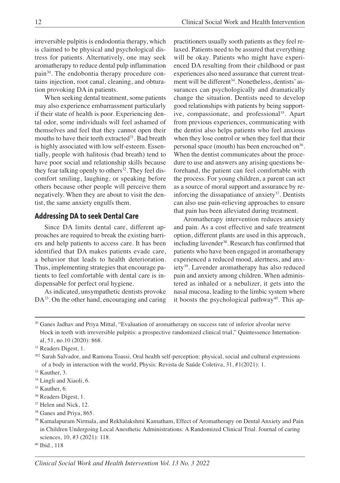irreversible pulpitis is endodontia therapy, which is claimed to be physical and psychological distress for patients. Alternatively, one may seek aromatherapy to reduce dental pulp inflammation pain<sup>30</sup>. The endobontia therapy procedure contains injection, root canal, cleaning, and obturation provoking DA in patients.

When seeking dental treatment, some patients may also experience embarrassment particularly if their state of health is poor. Experiencing dental odor, some individuals will feel ashamed of themselves and feel that they cannot open their mouths to have their teeth extracted<sup>31</sup>. Bad breath is highly associated with low self-esteem. Essentially, people with halitosis (bad breath) tend to have poor social and relationship skills because they fear talking openly to others<sup>32</sup>. They feel discomfort smiling, laughing, or speaking before others because other people will perceive them negatively. When they are about to visit the dentist, the same anxiety engulfs them.

#### **Addressing DA to seek Dental Care**

Since DA limits dental care, different approaches are required to break the existing barriers and help patients to access care. It has been identified that DA makes patients evade care, a behavior that leads to health deterioration. Thus, implementing strategies that encourage patients to feel comfortable with dental care is indispensable for perfect oral hygiene.

As indicated, unsympathetic dentists provoke DA<sup>33</sup>. On the other hand, encouraging and caring

practitioners usually sooth patients as they feel relaxed. Patients need to be assured that everything will be okay. Patients who might have experienced DA resulting from their childhood or past experiences also need assurance that current treatment will be different 34 . Nonetheless, dentists' assurances can psychologically and dramatically change the situation. Dentists need to develop good relationships with patients by being supportive, compassionate, and professional 35 . Apart from previous experiences, communicating with the dentist also helps patients who feel anxious when they lose control or when they feel that their personal space (mouth) has been encroached on $36$ . When the dentist communicates about the procedure to use and answers any arising questions beforehand, the patient can feel comfortable with the process. For young children, a parent can act as a source of moral support and assurance by reinforcing the dissapatiance of anxiety<sup>37</sup>. Dentists can also use pain-relieving approaches to ensure that pain has been alleviated during treatment.

Aromatherapy intervention reduces anxiety and pain. As a cost effective and safe treatment option, different plants are used in this approach, including lavender 38 . Research has confirmed that patients who have been engaged in aromatherapy experienced a reduced mood, alertness, and anxiety39 . Lavender aromatherapy has also reduced pain and anxiety among children. When administered as inhaled or a nebulizer, it gets into the nasal mucosa, leading to the limbic system where it boosts the psychological pathway<sup>40</sup>. This ap-

<sup>30</sup> Ganes Jadhav and Priya Mittal, "Evaluation of aromatherapy on success rate of inferior alveolar nerve block in teeth with irreversible pulpitis: a prospective randomized clinical trial," Quintessence International, 51, no.10 (2020): 868.

<sup>&</sup>lt;sup>31</sup> Readers Digest, 1.

<sup>302</sup> Sarah Salvador, and Ramona Toassi, Oral health self-perception: physical, social and cultural expressions of a body in interaction with the world, Physis: Revista de Saúde Coletiva, 31, #1(2021): 1.

<sup>&</sup>lt;sup>33</sup> Kauther, 3.

<sup>&</sup>lt;sup>34</sup> Lingli and Xiaoli, 6.

<sup>&</sup>lt;sup>35</sup> Kauther, 6.

<sup>36</sup> Readers Digest, 1.

<sup>&</sup>lt;sup>37</sup> Helen and Nick, 12.

<sup>38</sup> Ganes and Priya, 865.

<sup>&</sup>lt;sup>39</sup> Kamalapuram Nirmala, and Rekhalakshmi Kamatham, Effect of Aromatherapy on Dental Anxiety and Pain in Children Undergoing Local Anesthetic Administrations: A Randomized Clinical Trial. Journal of caring sciences, 10, #3 (2021): 118.

<sup>40</sup> Ibid., 118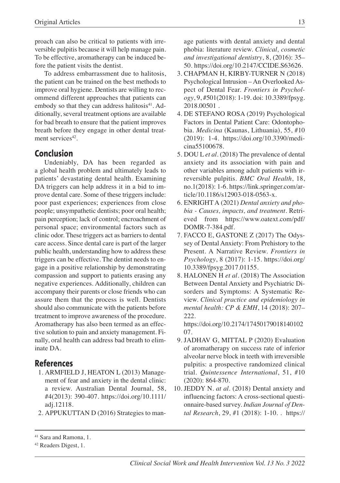proach can also be critical to patients with irreversible pulpitis because it will help manage pain. To be effective, aromatherapy can be induced before the patient visits the dentist.

To address embarrassment due to halitosis, the patient can be trained on the best methods to improve oral hygiene. Dentists are willing to recommend different approaches that patients can embody so that they can address halitosis<sup>41</sup>. Additionally, several treatment options are available for bad breath to ensure that the patient improves breath before they engage in other dental treatment services<sup>42</sup>.

# **Conclusion**

Undeniably, DA has been regarded as a global health problem and ultimately leads to patients' devastating dental health. Examining DA triggers can help address it in a bid to improve dental care. Some of these triggers include: poor past experiences; experiences from close people; unsympathetic dentists; poor oral health; pain perception; lack of control; encroachment of personal space; environmental factors such as clinic odor. These triggers act as barriers to dental care access. Since dental care is part of the larger public health, understanding how to address these triggers can be effective. The dentist needs to engage in a positive relationship by demonstrating compassion and support to patients erasing any negative experiences. Additionally, children can accompany their parents or close friends who can assure them that the process is well. Dentists should also communicate with the patients before treatment to improve awareness of the procedure. Aromatherapy has also been termed as an effective solution to pain and anxiety management. Finally, oral health can address bad breath to eliminate DA.

## **References**

- 1. ARMFIELD J, HEATON L (2013) Management of fear and anxiety in the dental clinic: a review. Australian Dental Journal, 58, #4(2013): 390-407. https://doi.org/10.1111/ adj.12118.
- 2. APPUKUTTAN D (2016) Strategies to man-

age patients with dental anxiety and dental phobia: literature review. *Clinical, cosmetic and investigational dentistry*, 8, (2016): 35– 50. https://doi.org/10.2147/CCIDE.S63626.

- 3. CHAPMAN H, KIRBY-TURNER N (2018) Psychological Intrusion – An Overlooked Aspect of Dental Fear. *Frontiers in Psychology*, 9, #501(2018): 1-19. doi: 10.3389/fpsyg. 2018.00501 .
- 4. DE STEFANO ROSA (2019) Psychological Factors in Dental Patient Care: Odontophobia. *Medicina* (Kaunas, Lithuania), 55, #10 (2019): 1-4. https://doi.org/10.3390/medicina55100678.
- 5. DOU L *et al.* (2018) The prevalence of dental anxiety and its association with pain and other variables among adult patients with irreversible pulpitis. *BMC Oral Health*, 18, no.1(2018): 1-6. https://link.springer.com/article/10.1186/s12903-018-0563-x.
- 6. ENRIGHTA (2021) *Dental anxiety and phobia - Causes, impacts, and treatment*. Retrieved from https://www.oatext.com/pdf/ DOMR-7-384.pdf.
- 7. FACCO E, GASTONE Z (2017) The Odyssey of Dental Anxiety: From Prehistory to the Present. A Narrative Review. *Frontiers in Psychology*, 8 (2017): 1-15. https://doi.org/ 10.3389/fpsyg.2017.01155.
- 8. HALONEN H *et al.* (2018) The Association Between Dental Anxiety and Psychiatric Disorders and Symptoms: A Systematic Review. *Clinical practice and epidemiology in mental health: CP & EMH*, 14 (2018): 207– 222.

https://doi.org/10.2174/17450179018140102 07.

- 9. JADHAV G, MITTAL P (2020) Evaluation of aromatherapy on success rate of inferior alveolar nerve block in teeth with irreversible pulpitis: a prospective randomized clinical trial. *Quintessence International*, 51, #10 (2020): 864-870.
- 10. JEDDY N. *at al*. (2018) Dental anxiety and influencing factors: A cross-sectional questionnaire-based survey. *Indian Journal of Dental Research*, 29, #1 (2018): 1-10. . https://

<sup>41</sup> Sara and Ramona, 1.

<sup>42</sup> Readers Digest, 1.